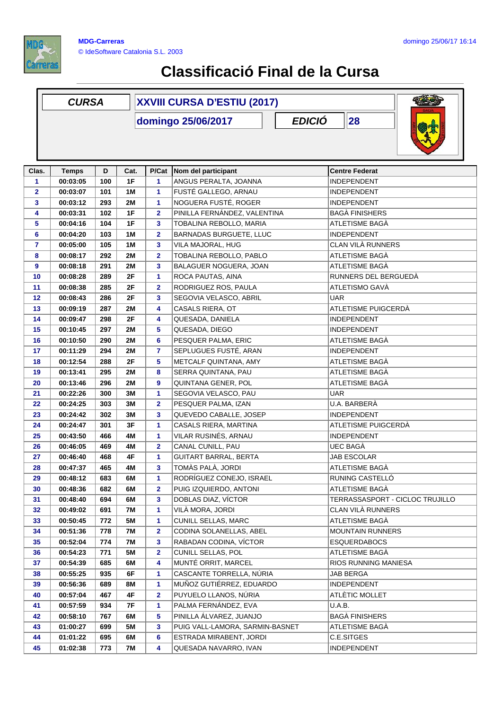

## **Classificació Final de la Cursa**

|              | <b>CURSA</b>                              |     |           | <b>XXVIII CURSA D'ESTIU (2017)</b> |                                 |  |                         |                                 |  |
|--------------|-------------------------------------------|-----|-----------|------------------------------------|---------------------------------|--|-------------------------|---------------------------------|--|
|              | <b>EDICIÓ</b><br>28<br>domingo 25/06/2017 |     |           |                                    |                                 |  |                         |                                 |  |
| Clas.        | <b>Temps</b>                              | D   | Cat.      | P/Cat                              | Nom del participant             |  | <b>Centre Federat</b>   |                                 |  |
| 1            | 00:03:05                                  | 100 | 1F        | 1                                  | ANGUS PERALTA, JOANNA           |  | <b>INDEPENDENT</b>      |                                 |  |
| $\mathbf{2}$ | 00:03:07                                  | 101 | 1M        | $\mathbf{1}$                       | FUSTÉ GALLEGO, ARNAU            |  | <b>INDEPENDENT</b>      |                                 |  |
| 3            | 00:03:12                                  | 293 | 2M        | $\mathbf{1}$                       | NOGUERA FUSTÉ, ROGER            |  | <b>INDEPENDENT</b>      |                                 |  |
| 4            | 00:03:31                                  | 102 | 1F        | $\overline{2}$                     | PINILLA FERNÁNDEZ, VALENTINA    |  | <b>BAGA FINISHERS</b>   |                                 |  |
| 5            | 00:04:16                                  | 104 | 1F        | 3                                  | TOBALINA REBOLLO, MARIA         |  | ATLETISME BAGÀ          |                                 |  |
| 6            | 00:04:20                                  | 103 | 1M        | $\mathbf{2}$                       | BARNADAS BURGUETE, LLUC         |  | INDEPENDENT             |                                 |  |
| 7            | 00:05:00                                  | 105 | 1M        | 3                                  | VILA MAJORAL, HUG               |  | CLAN VILÀ RUNNERS       |                                 |  |
| 8            | 00:08:17                                  | 292 | 2M        | $\overline{2}$                     | TOBALINA REBOLLO, PABLO         |  | ATLETISME BAGÀ          |                                 |  |
| 9            | 00:08:18                                  | 291 | <b>2M</b> | 3                                  | BALAGUER NOGUERA, JOAN          |  | ATLETISME BAGÀ          |                                 |  |
| 10           | 00:08:28                                  | 289 | 2F        | 1                                  | ROCA PAUTAS, AINA               |  | RUNNERS DEL BERGUEDÀ    |                                 |  |
| 11           | 00:08:38                                  | 285 | 2F        | $\mathbf{2}$                       | RODRIGUEZ ROS, PAULA            |  | ATLETISMO GAVÀ          |                                 |  |
| 12           | 00:08:43                                  | 286 | 2F        | 3                                  | SEGOVIA VELASCO, ABRIL          |  | <b>UAR</b>              |                                 |  |
| 13           | 00:09:19                                  | 287 | <b>2M</b> | 4                                  | <b>CASALS RIERA, OT</b>         |  | ATLETISME PUIGCERDÀ     |                                 |  |
| 14           | 00:09:47                                  | 298 | 2F        | 4                                  | QUESADA, DANIELA                |  | <b>INDEPENDENT</b>      |                                 |  |
| 15           | 00:10:45                                  | 297 | <b>2M</b> | 5                                  | QUESADA, DIEGO                  |  | INDEPENDENT             |                                 |  |
| 16           | 00:10:50                                  | 290 | 2M        | 6                                  | PESQUER PALMA, ERIC             |  | ATLETISME BAGÀ          |                                 |  |
| 17           | 00:11:29                                  | 294 | 2M        | $\overline{7}$                     | SEPLUGUES FUSTÉ, ARAN           |  | <b>INDEPENDENT</b>      |                                 |  |
| 18           | 00:12:54                                  | 288 | 2F        | 5                                  | METCALF QUINTANA, AMY           |  | ATLETISME BAGÀ          |                                 |  |
| 19           | 00:13:41                                  | 295 | <b>2M</b> | 8                                  | SERRA QUINTANA, PAU             |  | ATLETISME BAGA          |                                 |  |
| 20           | 00:13:46                                  | 296 | <b>2M</b> | 9                                  | QUINTANA GENER, POL             |  | ATLETISME BAGÀ          |                                 |  |
| 21           | 00:22:26                                  | 300 | 3M        | 1                                  | SEGOVIA VELASCO, PAU            |  | <b>UAR</b>              |                                 |  |
| 22           | 00:24:25                                  | 303 | 3M        | $\overline{2}$                     | PESQUER PALMA, IZAN             |  | U.A. BARBERÀ            |                                 |  |
| 23           | 00:24:42                                  | 302 | 3M        | 3                                  | QUEVEDO CABALLE, JOSEP          |  | <b>INDEPENDENT</b>      |                                 |  |
| 24           | 00:24:47                                  | 301 | 3F        | $\mathbf{1}$                       | CASALS RIERA, MARTINA           |  | ATLETISME PUIGCERDÀ     |                                 |  |
|              |                                           | 466 | 4M        | $\mathbf{1}$                       | VILAR RUSINÉS, ARNAU            |  |                         |                                 |  |
| 25           | 00:43:50                                  |     |           |                                    |                                 |  | <b>INDEPENDENT</b>      |                                 |  |
| 26           | 00:46:05                                  | 469 | 4M        | $\mathbf{2}$                       | CANAL CUNILL, PAU               |  | <b>UEC BAGA</b>         |                                 |  |
| 27           | 00:46:40                                  | 468 | 4F        | 1                                  | <b>GUITART BARRAL, BERTA</b>    |  | <b>JAB ESCOLAR</b>      |                                 |  |
| 28           | 00:47:37                                  | 465 | 4M        | 3                                  | TOMÀS PALÀ, JORDI               |  | <b>ATLETISME BAGA</b>   |                                 |  |
| 29           | 00:48:12                                  | 683 | 6M        | 1                                  | RODRÍGUEZ CONEJO, ISRAEL        |  | RUNING CASTELLÓ         |                                 |  |
| 30           | 00:48:36                                  | 682 | 6M        | $\mathbf{2}$                       | PUIG IZQUIERDO, ANTONI          |  | ATLETISME BAGÀ          |                                 |  |
| 31           | 00:48:40                                  | 694 | 6M        | 3                                  | DOBLAS DIAZ, VÍCTOR             |  |                         | TERRASSASPORT - CICLOC TRUJILLO |  |
| 32           | 00:49:02                                  | 691 | 7M        | 1                                  | VILÀ MORA, JORDI                |  | CLAN VILÀ RUNNERS       |                                 |  |
| 33           | 00:50:45                                  | 772 | <b>5M</b> | 1                                  | <b>CUNILL SELLAS, MARC</b>      |  | ATLETISME BAGÀ          |                                 |  |
| 34           | 00:51:36                                  | 778 | 7M        | $\mathbf{2}$                       | CODINA SOLANELLAS, ABEL         |  | <b>MOUNTAIN RUNNERS</b> |                                 |  |
| 35           | 00:52:04                                  | 774 | 7M        | 3                                  | RABADAN CODINA, VÍCTOR          |  | <b>ESQUERDABOCS</b>     |                                 |  |
| 36           | 00:54:23                                  | 771 | 5M        | $\mathbf{2}$                       | CUNILL SELLAS, POL              |  | ATLETISME BAGÀ          |                                 |  |
| 37           | 00:54:39                                  | 685 | 6M        | 4                                  | MUNTÉ ORRIT, MARCEL             |  | RIOS RUNNING MANIESA    |                                 |  |
| 38           | 00:55:25                                  | 935 | 6F        | 1                                  | CASCANTE TORRELLA, NÚRIA        |  | JAB BERGA               |                                 |  |
| 39           | 00:56:36                                  | 689 | 8M        | 1                                  | MUÑOZ GUTIÉRREZ, EDUARDO        |  | <b>INDEPENDENT</b>      |                                 |  |
| 40           | 00:57:04                                  | 467 | 4F        | $\mathbf{2}$                       | PUYUELO LLANOS, NÚRIA           |  | ATLÈTIC MOLLET          |                                 |  |
| 41           | 00:57:59                                  | 934 | 7F        | 1                                  | PALMA FERNÁNDEZ, EVA            |  | U.A.B.                  |                                 |  |
| 42           | 00:58:10                                  | 767 | 6M        | 5                                  | PINILLA ÁLVAREZ, JUANJO         |  | <b>BAGÀ FINISHERS</b>   |                                 |  |
| 43           | 01:00:27                                  | 699 | <b>5M</b> | 3                                  | PUIG VALL-LAMORA, SARMIN-BASNET |  | ATLETISME BAGÀ          |                                 |  |
| 44           | 01:01:22                                  | 695 | 6M        | 6                                  | ESTRADA MIRABENT, JORDI         |  | C.E.SITGES              |                                 |  |
| 45           | 01:02:38                                  | 773 | 7M        | 4                                  | QUESADA NAVARRO, IVAN           |  | <b>INDEPENDENT</b>      |                                 |  |